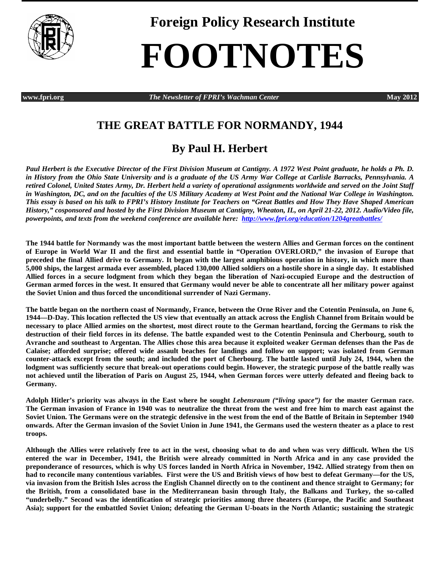

**Foreign Policy Research Institute**

## **FOOTNOTES**

**www.fpri.org** *The Newsletter of FPRI's Wachman Center* **May 2012**

## **THE GREAT BATTLE FOR NORMANDY, 1944**

## **By Paul H. Herbert**

*Paul Herbert is the Executive Director of the First Division Museum at Cantigny. A 1972 West Point graduate, he holds a Ph. D. in History from the Ohio State University and is a graduate of the US Army War College at Carlisle Barracks, Pennsylvania. A retired Colonel, United States Army, Dr. Herbert held a variety of operational assignments worldwide and served on the Joint Staff in Washington, DC, and on the faculties of the US Military Academy at West Point and the National War College in Washington. This essay is based on his talk to FPRI's History Institute for Teachers on "Great Battles and How They Have Shaped American History," cosponsored and hosted by the First Division Museum at Cantigny, Wheaton, IL, on April 21-22, 2012. Audio/Video file, powerpoints, and texts from the weekend conference are available here:<http://www.fpri.org/education/1204greatbattles/>*

**The 1944 battle for Normandy was the most important battle between the western Allies and German forces on the continent of Europe in World War II and the first and essential battle in "Operation OVERLORD," the invasion of Europe that preceded the final Allied drive to Germany. It began with the largest amphibious operation in history, in which more than 5,000 ships, the largest armada ever assembled, placed 130,000 Allied soldiers on a hostile shore in a single day. It established Allied forces in a secure lodgment from which they began the liberation of Nazi-occupied Europe and the destruction of German armed forces in the west. It ensured that Germany would never be able to concentrate all her military power against the Soviet Union and thus forced the unconditional surrender of Nazi Germany.**

**The battle began on the northern coast of Normandy, France, between the Orne River and the Cotentin Peninsula, on June 6, 1944—D-Day. This location reflected the US view that eventually an attack across the English Channel from Britain would be necessary to place Allied armies on the shortest, most direct route to the German heartland, forcing the Germans to risk the destruction of their field forces in its defense. The battle expanded west to the Cotentin Peninsula and Cherbourg, south to Avranche and southeast to Argentan. The Allies chose this area because it exploited weaker German defenses than the Pas de Calaise; afforded surprise; offered wide assault beaches for landings and follow on support; was isolated from German counter-attack except from the south; and included the port of Cherbourg. The battle lasted until July 24, 1944, when the lodgment was sufficiently secure that break-out operations could begin. However, the strategic purpose of the battle really was not achieved until the liberation of Paris on August 25, 1944, when German forces were utterly defeated and fleeing back to Germany.** 

**Adolph Hitler's priority was always in the East where he sought** *Lebensraum ("living space")* **for the master German race. The German invasion of France in 1940 was to neutralize the threat from the west and free him to march east against the Soviet Union. The Germans were on the strategic defensive in the west from the end of the Battle of Britain in September 1940 onwards. After the German invasion of the Soviet Union in June 1941, the Germans used the western theater as a place to rest troops.** 

**Although the Allies were relatively free to act in the west, choosing what to do and when was very difficult. When the US entered the war in December, 1941, the British were already committed in North Africa and in any case provided the preponderance of resources, which is why US forces landed in North Africa in November, 1942. Allied strategy from then on had to reconcile many contentious variables. First were the US and British views of how best to defeat Germany—for the US, via invasion from the British Isles across the English Channel directly on to the continent and thence straight to Germany; for the British, from a consolidated base in the Mediterranean basin through Italy, the Balkans and Turkey, the so-called "underbelly." Second was the identification of strategic priorities among three theaters (Europe, the Pacific and Southeast Asia); support for the embattled Soviet Union; defeating the German U-boats in the North Atlantic; sustaining the strategic**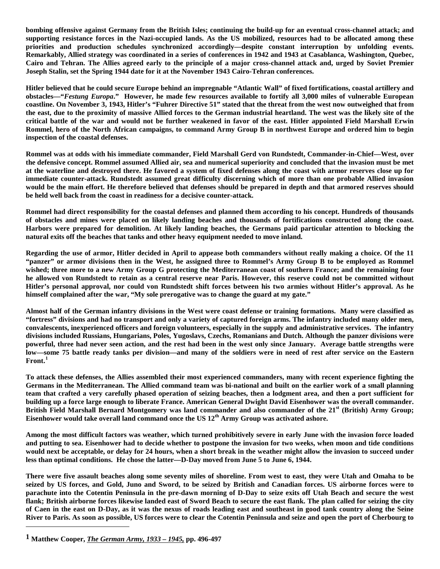**bombing offensive against Germany from the British Isles; continuing the build-up for an eventual cross-channel attack; and supporting resistance forces in the Nazi-occupied lands. As the US mobilized, resources had to be allocated among these priorities and production schedules synchronized accordingly—despite constant interruption by unfolding events. Remarkably, Allied strategy was coordinated in a series of conferences in 1942 and 1943 at Casablanca, Washington, Quebec, Cairo and Tehran. The Allies agreed early to the principle of a major cross-channel attack and, urged by Soviet Premier Joseph Stalin, set the Spring 1944 date for it at the November 1943 Cairo-Tehran conferences.** 

**Hitler believed that he could secure Europe behind an impregnable "Atlantic Wall" of fixed fortifications, coastal artillery and obstacles—"***Festung Europa***." However, he made few resources available to fortify all 3,000 miles of vulnerable European coastline. On November 3, 1943, Hitler's "Fuhrer Directive 51" stated that the threat from the west now outweighed that from the east, due to the proximity of massive Allied forces to the German industrial heartland. The west was the likely site of the critical battle of the war and would not be further weakened in favor of the east. Hitler appointed Field Marshall Erwin Rommel, hero of the North African campaigns, to command Army Group B in northwest Europe and ordered him to begin inspection of the coastal defenses.** 

**Rommel was at odds with his immediate commander, Field Marshall Gerd von Rundstedt, Commander-in-Chief—West, over the defensive concept. Rommel assumed Allied air, sea and numerical superiority and concluded that the invasion must be met at the waterline and destroyed there. He favored a system of fixed defenses along the coast with armor reserves close up for immediate counter-attack. Rundstedt assumed great difficulty discerning which of more than one probable Allied invasion would be the main effort. He therefore believed that defenses should be prepared in depth and that armored reserves should be held well back from the coast in readiness for a decisive counter-attack.** 

**Rommel had direct responsibility for the coastal defenses and planned them according to his concept. Hundreds of thousands of obstacles and mines were placed on likely landing beaches and thousands of fortifications constructed along the coast. Harbors were prepared for demolition. At likely landing beaches, the Germans paid particular attention to blocking the natural exits off the beaches that tanks and other heavy equipment needed to move inland.** 

**Regarding the use of armor, Hitler decided in April to appease both commanders without really making a choice. Of the 11 "panzer" or armor divisions then in the West, he assigned three to Rommel's Army Group B to be employed as Rommel wished; three more to a new Army Group G protecting the Mediterranean coast of southern France; and the remaining four he allowed von Rundstedt to retain as a central reserve near Paris. However, this reserve could not be committed without Hitler's personal approval, nor could von Rundstedt shift forces between his two armies without Hitler's approval. As he himself complained after the war, "My sole prerogative was to change the guard at my gate."**

**Almost half of the German infantry divisions in the West were coast defense or training formations. Many were classified as "fortress" divisions and had no transport and only a variety of captured foreign arms. The infantry included many older men, convalescents, inexperienced officers and foreign volunteers, especially in the supply and administrative services. The infantry divisions included Russians, Hungarians, Poles, Yugoslavs, Czechs, Romanians and Dutch. Although the panzer divisions were powerful, three had never seen action, and the rest had been in the west only since January. Average battle strengths were low—some 75 battle ready tanks per division—and many of the soldiers were in need of rest after service on the Eastern Front.[1](#page-1-0)**

**To attack these defenses, the Allies assembled their most experienced commanders, many with recent experience fighting the Germans in the Mediterranean. The Allied command team was bi-national and built on the earlier work of a small planning team that crafted a very carefully phased operation of seizing beaches, then a lodgment area, and then a port sufficient for building up a force large enough to liberate France. American General Dwight David Eisenhower was the overall commander. British Field Marshall Bernard Montgomery was land commander and also commander of the 21st (British) Army Group; Eisenhower would take overall land command once the US 12th Army Group was activated ashore.** 

**Among the most difficult factors was weather, which turned prohibitively severe in early June with the invasion force loaded and putting to sea. Eisenhower had to decide whether to postpone the invasion for two weeks, when moon and tide conditions would next be acceptable, or delay for 24 hours, when a short break in the weather might allow the invasion to succeed under less than optimal conditions. He chose the latter—D-Day moved from June 5 to June 6, 1944.** 

**There were five assault beaches along some seventy miles of shoreline. From west to east, they were Utah and Omaha to be seized by US forces, and Gold, Juno and Sword, to be seized by British and Canadian forces. US airborne forces were to parachute into the Cotentin Peninsula in the pre-dawn morning of D-Day to seize exits off Utah Beach and secure the west flank; British airborne forces likewise landed east of Sword Beach to secure the east flank. The plan called for seizing the city of Caen in the east on D-Day, as it was the nexus of roads leading east and southeast in good tank country along the Seine River to Paris. As soon as possible, US forces were to clear the Cotentin Peninsula and seize and open the port of Cherbourg to** 

 $\overline{a}$ 

<span id="page-1-0"></span>**<sup>1</sup> Matthew Cooper,** *The German Army, 1933 – 1945,* **pp. 496-497**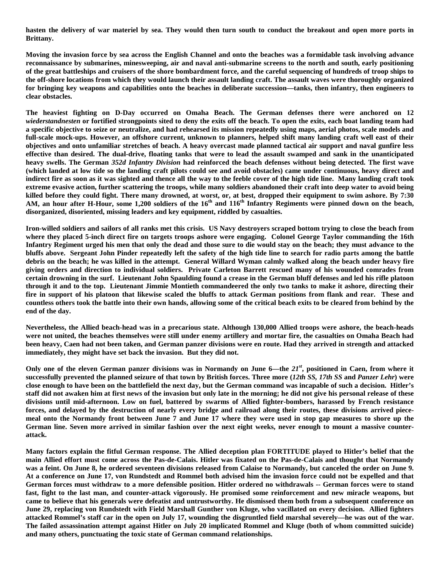**hasten the delivery of war materiel by sea. They would then turn south to conduct the breakout and open more ports in Brittany.** 

**Moving the invasion force by sea across the English Channel and onto the beaches was a formidable task involving advance reconnaissance by submarines, minesweeping, air and naval anti-submarine screens to the north and south, early positioning of the great battleships and cruisers of the shore bombardment force, and the careful sequencing of hundreds of troop ships to the off-shore locations from which they would launch their assault landing craft. The assault waves were thoroughly organized for bringing key weapons and capabilities onto the beaches in deliberate succession—tanks, then infantry, then engineers to clear obstacles.** 

**The heaviest fighting on D-Day occurred on Omaha Beach. The German defenses there were anchored on 12**  *wiederstandnesten* **or fortified strongpoints sited to deny the exits off the beach. To open the exits, each boat landing team had a specific objective to seize or neutralize, and had rehearsed its mission repeatedly using maps, aerial photos, scale models and full-scale mock-ups. However, an offshore current, unknown to planners, helped shift many landing craft well east of their objectives and onto unfamiliar stretches of beach. A heavy overcast made planned tactical air support and naval gunfire less effective than desired. The dual-drive, floating tanks that were to lead the assault swamped and sank in the unanticipated heavy swells. The German** *352d Infantry Division* **had reinforced the beach defenses without being detected. The first wave (which landed at low tide so the landing craft pilots could see and avoid obstacles) came under continuous, heavy direct and indirect fire as soon as it was sighted and thence all the way to the feeble cover of the high tide line. Many landing craft took extreme evasive action, further scattering the troops, while many soldiers abandoned their craft into deep water to avoid being killed before they could fight. There many drowned, at worst, or, at best, dropped their equipment to swim ashore. By 7:30 AM, an hour after H-Hour, some 1,200 soldiers of the 16th and 116th Infantry Regiments were pinned down on the beach, disorganized, disoriented, missing leaders and key equipment, riddled by casualties.**

**Iron-willed soldiers and sailors of all ranks met this crisis. US Navy destroyers scraped bottom trying to close the beach from where they placed 5-inch direct fire on targets troops ashore were engaging. Colonel George Taylor commanding the 16th Infantry Regiment urged his men that only the dead and those sure to die would stay on the beach; they must advance to the bluffs above. Sergeant John Pinder repeatedly left the safety of the high tide line to search for radio parts among the battle debris on the beach; he was killed in the attempt. General Willard Wyman calmly walked along the beach under heavy fire giving orders and direction to individual soldiers. Private Carleton Barrett rescued many of his wounded comrades from certain drowning in the surf. Lieutenant John Spaulding found a crease in the German bluff defenses and led his rifle platoon through it and to the top. Lieutenant Jimmie Montieth commandeered the only two tanks to make it ashore, directing their fire in support of his platoon that likewise scaled the bluffs to attack German positions from flank and rear. These and countless others took the battle into their own hands, allowing some of the critical beach exits to be cleared from behind by the end of the day.**

**Nevertheless, the Allied beach-head was in a precarious state. Although 130,000 Allied troops were ashore, the beach-heads were not united, the beaches themselves were still under enemy artillery and mortar fire, the casualties on Omaha Beach had been heavy, Caen had not been taken, and German panzer divisions were en route. Had they arrived in strength and attacked immediately, they might have set back the invasion. But they did not.** 

**Only one of the eleven German panzer divisions was in Normandy on June 6—the** *21st***, positioned in Caen, from where it successfully prevented the planned seizure of that town by British forces. Three more (***12th SS, 17th SS* **and** *Panzer Lehr***) were close enough to have been on the battlefield the next day, but the German command was incapable of such a decision. Hitler's staff did not awaken him at first news of the invasion but only late in the morning; he did not give his personal release of these divisions until mid-afternoon. Low on fuel, battered by swarms of Allied fighter-bombers, harassed by French resistance forces, and delayed by the destruction of nearly every bridge and railroad along their routes, these divisions arrived piecemeal onto the Normandy front between June 7 and June 17 where they were used in stop gap measures to shore up the German line. Seven more arrived in similar fashion over the next eight weeks, never enough to mount a massive counterattack.**

**Many factors explain the fitful German response. The Allied deception plan FORTITUDE played to Hitler's belief that the main Allied effort must come across the Pas-de-Calais. Hitler was fixated on the Pas-de-Calais and thought that Normandy was a feint. On June 8, he ordered seventeen divisions released from Calaise to Normandy, but canceled the order on June 9. At a conference on June 17, von Rundstedt and Rommel both advised him the invasion force could not be expelled and that German forces must withdraw to a more defensible position. Hitler ordered no withdrawals -- German forces were to stand fast, fight to the last man, and counter-attack vigorously. He promised some reinforcement and new miracle weapons, but came to believe that his generals were defeatist and untrustworthy. He dismissed them both from a subsequent conference on June 29, replacing von Rundstedt with Field Marshall Gunther von Kluge, who vacillated on every decision. Allied fighters attacked Rommel's staff car in the open on July 17, wounding the disgruntled field marshal severely—he was out of the war. The failed assassination attempt against Hitler on July 20 implicated Rommel and Kluge (both of whom committed suicide) and many others, punctuating the toxic state of German command relationships.**